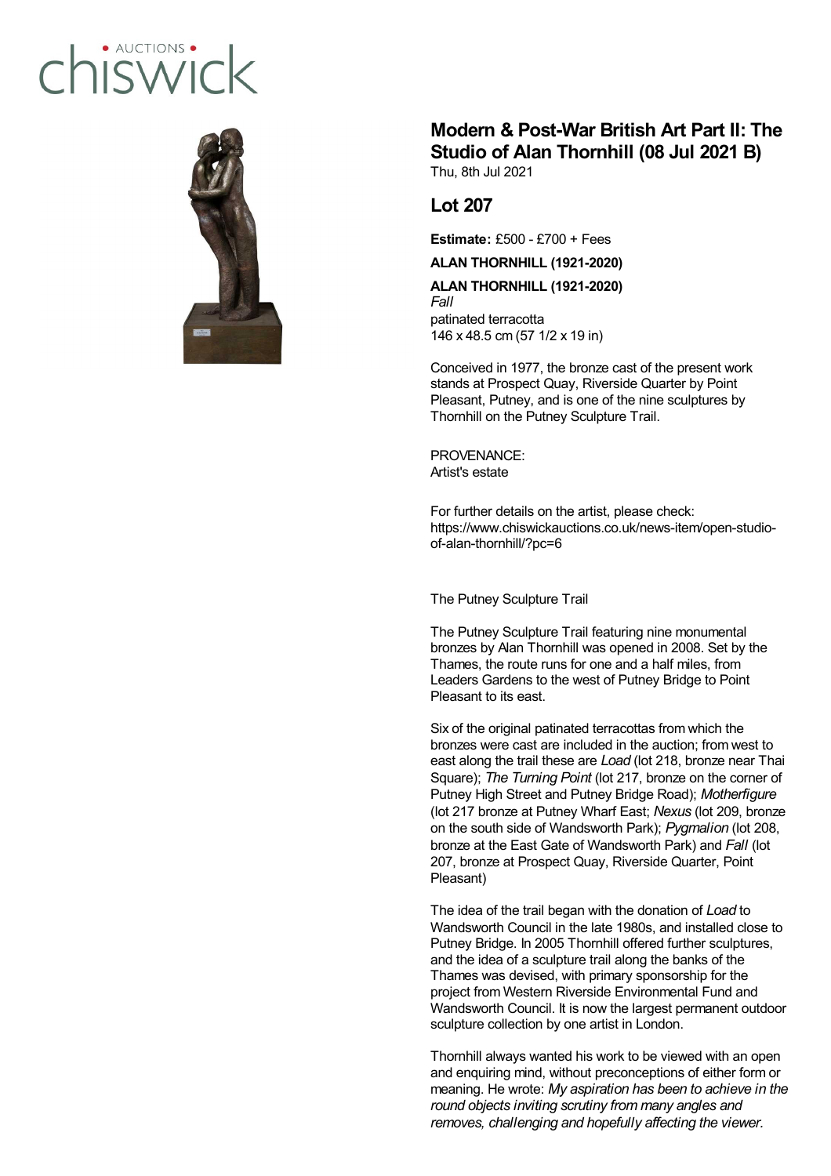## · AUCTIONS hiswic



## **Modern & Post-War British Art Part II: The Studio of Alan Thornhill (08 Jul 2021 B)**

Thu, 8th Jul 2021

## **Lot 207**

**Estimate:** £500 - £700 + Fees

**ALAN THORNHILL (1921-2020)**

**ALAN THORNHILL (1921-2020)** *Fall* patinated terracotta 146 x 48.5 cm (57 1/2 x 19 in)

Conceived in 1977, the bronze cast of the present work stands at Prospect Quay, Riverside Quarter by Point Pleasant, Putney, and is one of the nine sculptures by Thornhill on the Putney Sculpture Trail.

PROVENANCE: Artist's estate

For further details on the artist, please check: https://www.chiswickauctions.co.uk/news-item/open-studioof-alan-thornhill/?pc=6

The Putney Sculpture Trail

The Putney Sculpture Trail featuring nine monumental bronzes by Alan Thornhill was opened in 2008. Set by the Thames, the route runs for one and a half miles, from Leaders Gardens to the west of Putney Bridge to Point Pleasant to its east.

Six of the original patinated terracottas from which the bronzes were cast are included in the auction; from west to east along the trail these are *Load* (lot 218, bronze near Thai Square); *The Turning Point* (lot 217, bronze on the corner of Putney High Street and Putney Bridge Road); *Motherfigure* (lot 217 bronze at Putney Wharf East; *Nexus* (lot 209, bronze on the south side of Wandsworth Park); *Pygmalion* (lot 208, bronze at the East Gate of Wandsworth Park) and *Fall* (lot 207, bronze at Prospect Quay, Riverside Quarter, Point Pleasant)

The idea of the trail began with the donation of *Load* to Wandsworth Council in the late 1980s, and installed close to Putney Bridge. In 2005 Thornhill offered further sculptures, and the idea of a sculpture trail along the banks of the Thames was devised, with primary sponsorship for the project from Western Riverside Environmental Fund and Wandsworth Council. It is now the largest permanent outdoor sculpture collection by one artist in London.

Thornhill always wanted his work to be viewed with an open and enquiring mind, without preconceptions of either form or meaning. He wrote: *My aspiration has been to achieve in the round objects inviting scrutiny from many angles and removes, challenging and hopefully affecting the viewer.*